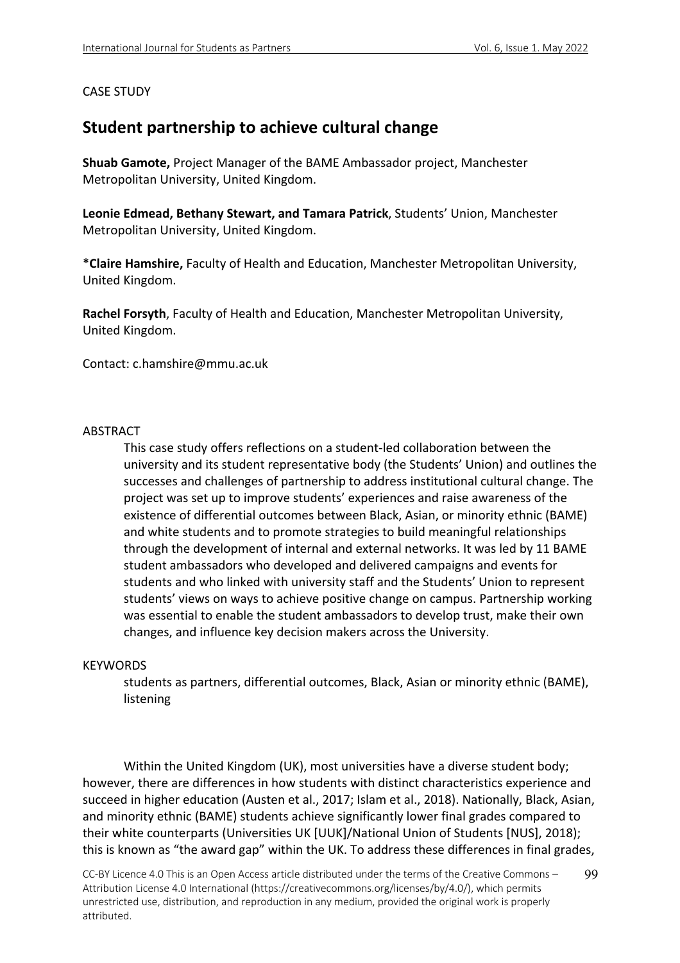# CASE STUDY

# **Student partnership to achieve cultural change**

**Shuab Gamote,** Project Manager of the BAME Ambassador project, Manchester Metropolitan University, United Kingdom.

**Leonie Edmead, Bethany Stewart, and Tamara Patrick**, Students' Union, Manchester Metropolitan University, United Kingdom.

\***Claire Hamshire,** Faculty of Health and Education, Manchester Metropolitan University, United Kingdom.

**Rachel Forsyth**, Faculty of Health and Education, Manchester Metropolitan University, United Kingdom.

Contact: c.hamshire@mmu.ac.uk

## ABSTRACT

This case study offers reflections on a student-led collaboration between the university and its student representative body (the Students' Union) and outlines the successes and challenges of partnership to address institutional cultural change. The project was set up to improve students' experiences and raise awareness of the existence of differential outcomes between Black, Asian, or minority ethnic (BAME) and white students and to promote strategies to build meaningful relationships through the development of internal and external networks. It was led by 11 BAME student ambassadors who developed and delivered campaigns and events for students and who linked with university staff and the Students' Union to represent students' views on ways to achieve positive change on campus. Partnership working was essential to enable the student ambassadors to develop trust, make their own changes, and influence key decision makers across the University.

#### **KEYWORDS**

students as partners, differential outcomes, Black, Asian or minority ethnic (BAME), listening

Within the United Kingdom (UK), most universities have a diverse student body; however, there are differences in how students with distinct characteristics experience and succeed in higher education (Austen et al., 2017; Islam et al., 2018). Nationally, Black, Asian, and minority ethnic (BAME) students achieve significantly lower final grades compared to their white counterparts (Universities UK [UUK]/National Union of Students [NUS], 2018); this is known as "the award gap" within the UK. To address these differences in final grades,

CC-BY Licence 4.0 This is an Open Access article distributed under the terms of the Creative Commons – Attribution License 4.0 International (https://creativecommons.org/licenses/by/4.0/), which permits unrestricted use, distribution, and reproduction in any medium, provided the original work is properly attributed. 99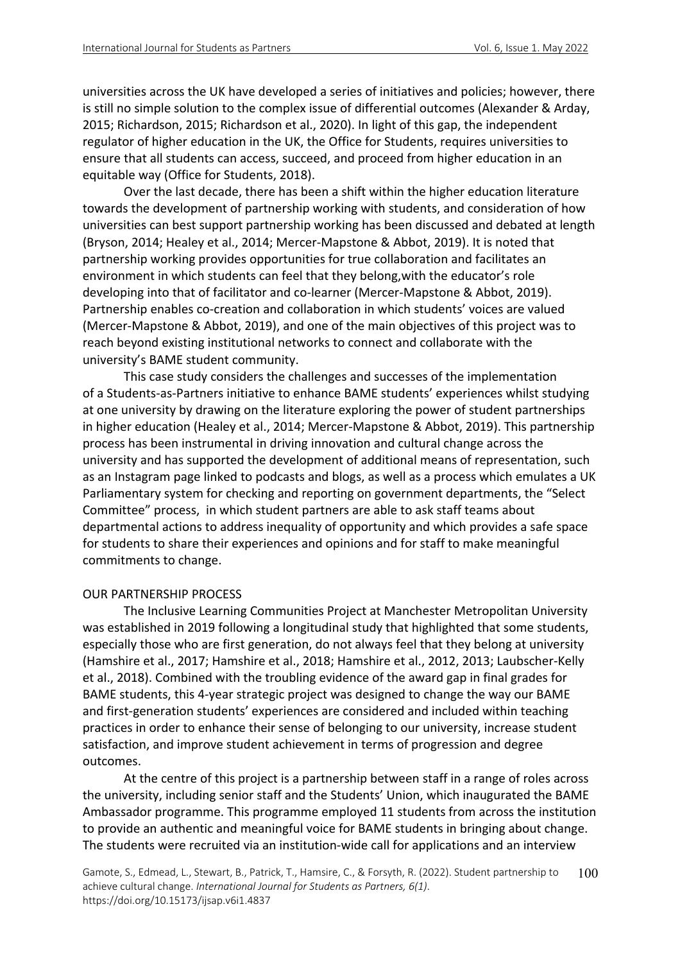universities across the UK have developed a series of initiatives and policies; however, there is still no simple solution to the complex issue of differential outcomes (Alexander & Arday, 2015; Richardson, 2015; Richardson et al., 2020). In light of this gap, the independent regulator of higher education in the UK, the Office for Students, requires universities to ensure that all students can access, succeed, and proceed from higher education in an equitable way (Office for Students, 2018).

Over the last decade, there has been a shift within the higher education literature towards the development of partnership working with students, and consideration of how universities can best support partnership working has been discussed and debated at length (Bryson, 2014; Healey et al., 2014; Mercer-Mapstone & Abbot, 2019). It is noted that partnership working provides opportunities for true collaboration and facilitates an environment in which students can feel that they belong,with the educator's role developing into that of facilitator and co-learner (Mercer-Mapstone & Abbot, 2019). Partnership enables co-creation and collaboration in which students' voices are valued (Mercer-Mapstone & Abbot, 2019), and one of the main objectives of this project was to reach beyond existing institutional networks to connect and collaborate with the university's BAME student community.

This case study considers the challenges and successes of the implementation of a Students-as-Partners initiative to enhance BAME students' experiences whilst studying at one university by drawing on the literature exploring the power of student partnerships in higher education (Healey et al., 2014; Mercer-Mapstone & Abbot, 2019). This partnership process has been instrumental in driving innovation and cultural change across the university and has supported the development of additional means of representation, such as an Instagram page linked to podcasts and blogs, as well as a process which emulates a UK Parliamentary system for checking and reporting on government departments, the "Select Committee" process, in which student partners are able to ask staff teams about departmental actions to address inequality of opportunity and which provides a safe space for students to share their experiences and opinions and for staff to make meaningful commitments to change.

## OUR PARTNERSHIP PROCESS

The Inclusive Learning Communities Project at Manchester Metropolitan University was established in 2019 following a longitudinal study that highlighted that some students, especially those who are first generation, do not always feel that they belong at university (Hamshire et al., 2017; Hamshire et al., 2018; Hamshire et al., 2012, 2013; Laubscher-Kelly et al., 2018). Combined with the troubling evidence of the award gap in final grades for BAME students, this 4-year strategic project was designed to change the way our BAME and first-generation students' experiences are considered and included within teaching practices in order to enhance their sense of belonging to our university, increase student satisfaction, and improve student achievement in terms of progression and degree outcomes.

At the centre of this project is a partnership between staff in a range of roles across the university, including senior staff and the Students' Union, which inaugurated the BAME Ambassador programme. This programme employed 11 students from across the institution to provide an authentic and meaningful voice for BAME students in bringing about change. The students were recruited via an institution-wide call for applications and an interview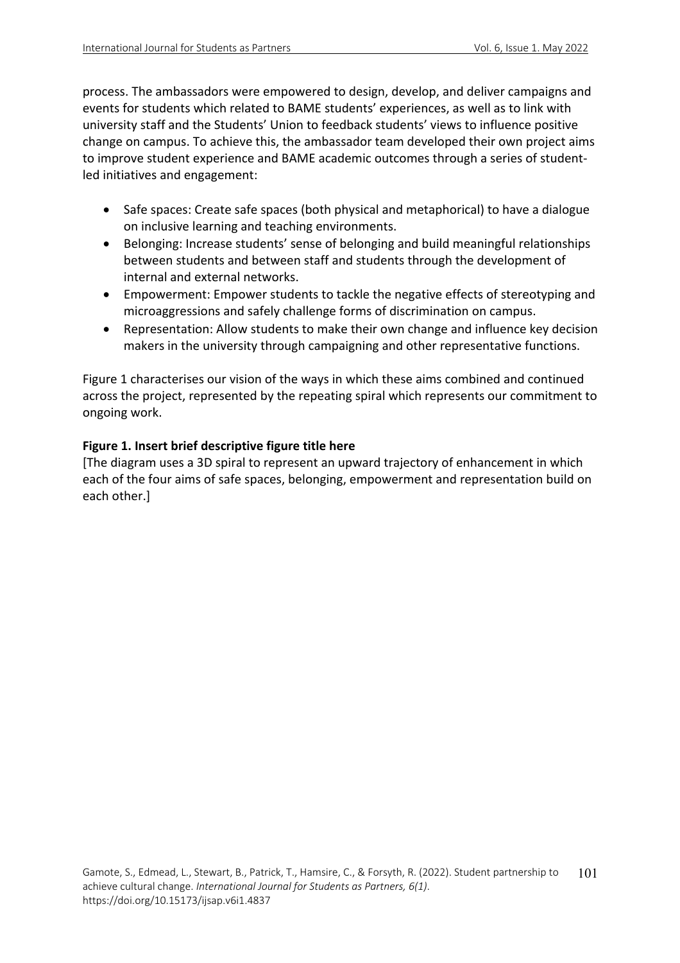process. The ambassadors were empowered to design, develop, and deliver campaigns and events for students which related to BAME students' experiences, as well as to link with university staff and the Students' Union to feedback students' views to influence positive change on campus. To achieve this, the ambassador team developed their own project aims to improve student experience and BAME academic outcomes through a series of studentled initiatives and engagement:

- Safe spaces: Create safe spaces (both physical and metaphorical) to have a dialogue on inclusive learning and teaching environments.
- Belonging: Increase students' sense of belonging and build meaningful relationships between students and between staff and students through the development of internal and external networks.
- Empowerment: Empower students to tackle the negative effects of stereotyping and microaggressions and safely challenge forms of discrimination on campus.
- Representation: Allow students to make their own change and influence key decision makers in the university through campaigning and other representative functions.

Figure 1 characterises our vision of the ways in which these aims combined and continued across the project, represented by the repeating spiral which represents our commitment to ongoing work.

# **Figure 1. Insert brief descriptive figure title here**

[The diagram uses a 3D spiral to represent an upward trajectory of enhancement in which each of the four aims of safe spaces, belonging, empowerment and representation build on each other.]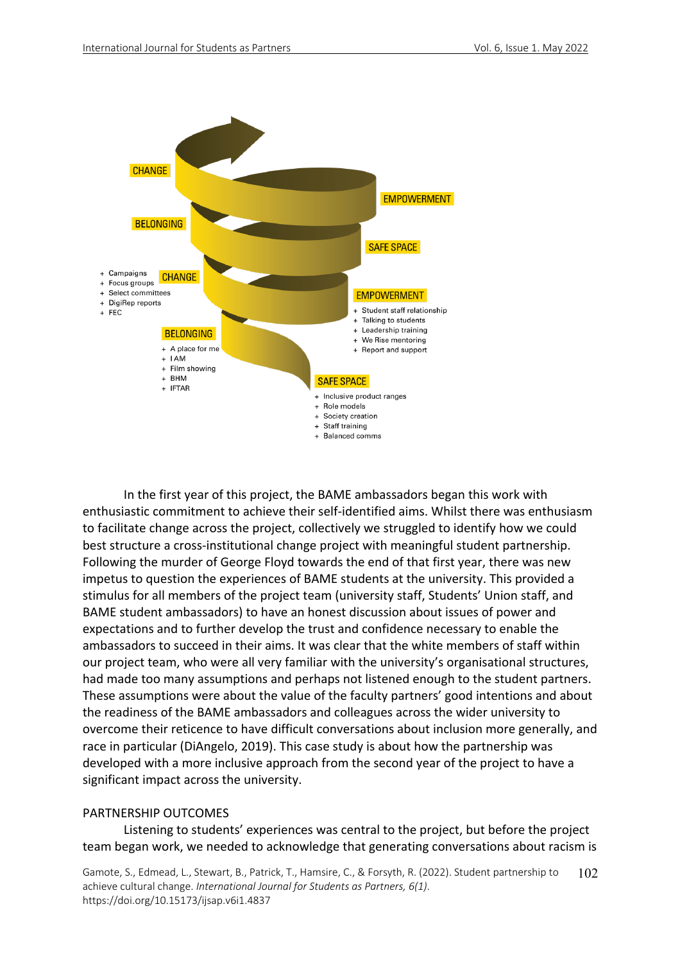

In the first year of this project, the BAME ambassadors began this work with enthusiastic commitment to achieve their self-identified aims. Whilst there was enthusiasm to facilitate change across the project, collectively we struggled to identify how we could best structure a cross-institutional change project with meaningful student partnership. Following the murder of George Floyd towards the end of that first year, there was new impetus to question the experiences of BAME students at the university. This provided a stimulus for all members of the project team (university staff, Students' Union staff, and BAME student ambassadors) to have an honest discussion about issues of power and expectations and to further develop the trust and confidence necessary to enable the ambassadors to succeed in their aims. It was clear that the white members of staff within our project team, who were all very familiar with the university's organisational structures, had made too many assumptions and perhaps not listened enough to the student partners. These assumptions were about the value of the faculty partners' good intentions and about the readiness of the BAME ambassadors and colleagues across the wider university to overcome their reticence to have difficult conversations about inclusion more generally, and race in particular (DiAngelo, 2019). This case study is about how the partnership was developed with a more inclusive approach from the second year of the project to have a significant impact across the university.

## PARTNERSHIP OUTCOMES

Listening to students' experiences was central to the project, but before the project team began work, we needed to acknowledge that generating conversations about racism is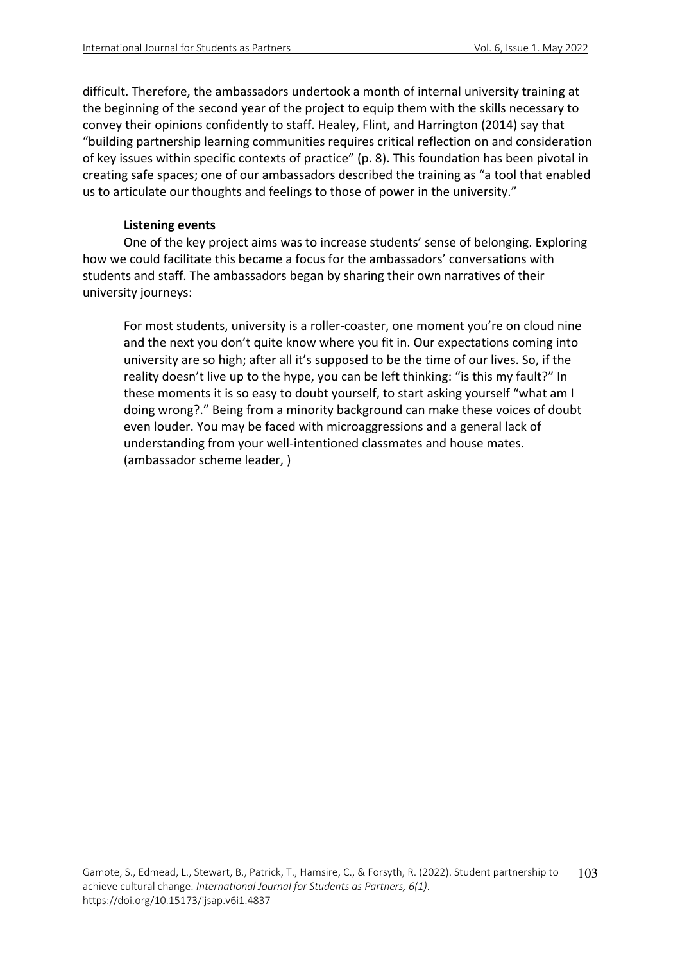difficult. Therefore, the ambassadors undertook a month of internal university training at the beginning of the second year of the project to equip them with the skills necessary to convey their opinions confidently to staff. Healey, Flint, and Harrington (2014) say that "building partnership learning communities requires critical reflection on and consideration of key issues within specific contexts of practice" (p. 8). This foundation has been pivotal in creating safe spaces; one of our ambassadors described the training as "a tool that enabled us to articulate our thoughts and feelings to those of power in the university."

## **Listening events**

One of the key project aims was to increase students' sense of belonging. Exploring how we could facilitate this became a focus for the ambassadors' conversations with students and staff. The ambassadors began by sharing their own narratives of their university journeys:

For most students, university is a roller-coaster, one moment you're on cloud nine and the next you don't quite know where you fit in. Our expectations coming into university are so high; after all it's supposed to be the time of our lives. So, if the reality doesn't live up to the hype, you can be left thinking: "is this my fault?" In these moments it is so easy to doubt yourself, to start asking yourself "what am I doing wrong?." Being from a minority background can make these voices of doubt even louder. You may be faced with microaggressions and a general lack of understanding from your well-intentioned classmates and house mates. (ambassador scheme leader, )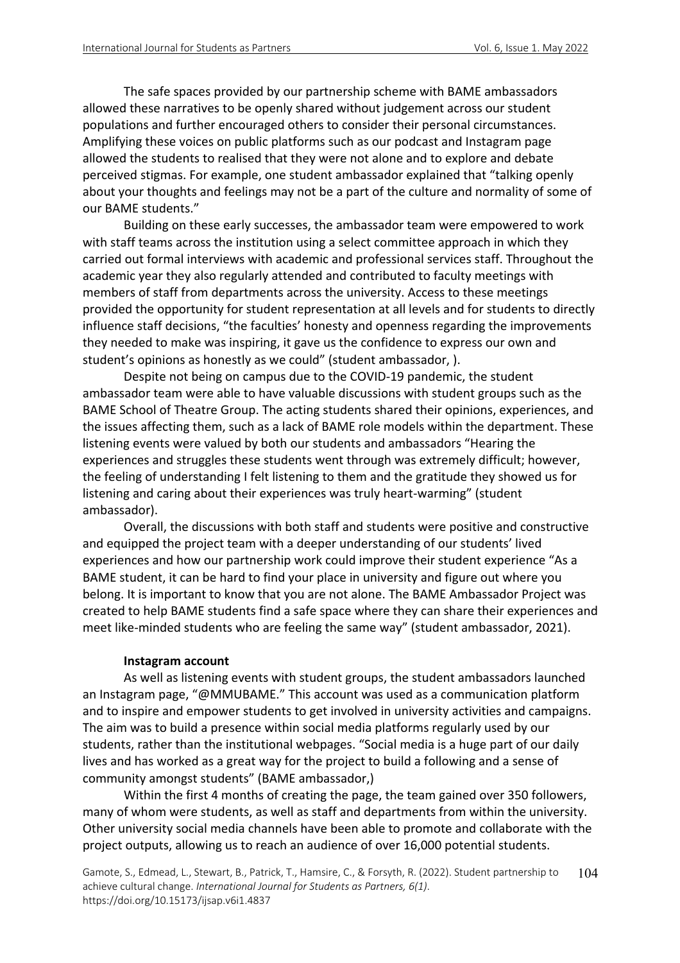The safe spaces provided by our partnership scheme with BAME ambassadors allowed these narratives to be openly shared without judgement across our student populations and further encouraged others to consider their personal circumstances. Amplifying these voices on public platforms such as our podcast and Instagram page allowed the students to realised that they were not alone and to explore and debate perceived stigmas. For example, one student ambassador explained that "talking openly about your thoughts and feelings may not be a part of the culture and normality of some of our BAME students."

Building on these early successes, the ambassador team were empowered to work with staff teams across the institution using a select committee approach in which they carried out formal interviews with academic and professional services staff. Throughout the academic year they also regularly attended and contributed to faculty meetings with members of staff from departments across the university. Access to these meetings provided the opportunity for student representation at all levels and for students to directly influence staff decisions, "the faculties' honesty and openness regarding the improvements they needed to make was inspiring, it gave us the confidence to express our own and student's opinions as honestly as we could" (student ambassador, ).

Despite not being on campus due to the COVID-19 pandemic, the student ambassador team were able to have valuable discussions with student groups such as the BAME School of Theatre Group. The acting students shared their opinions, experiences, and the issues affecting them, such as a lack of BAME role models within the department. These listening events were valued by both our students and ambassadors "Hearing the experiences and struggles these students went through was extremely difficult; however, the feeling of understanding I felt listening to them and the gratitude they showed us for listening and caring about their experiences was truly heart-warming" (student ambassador).

Overall, the discussions with both staff and students were positive and constructive and equipped the project team with a deeper understanding of our students' lived experiences and how our partnership work could improve their student experience "As a BAME student, it can be hard to find your place in university and figure out where you belong. It is important to know that you are not alone. The BAME Ambassador Project was created to help BAME students find a safe space where they can share their experiences and meet like-minded students who are feeling the same way" (student ambassador, 2021).

#### **Instagram account**

As well as listening events with student groups, the student ambassadors launched an Instagram page, "@MMUBAME." This account was used as a communication platform and to inspire and empower students to get involved in university activities and campaigns. The aim was to build a presence within social media platforms regularly used by our students, rather than the institutional webpages. "Social media is a huge part of our daily lives and has worked as a great way for the project to build a following and a sense of community amongst students" (BAME ambassador,)

Within the first 4 months of creating the page, the team gained over 350 followers, many of whom were students, as well as staff and departments from within the university. Other university social media channels have been able to promote and collaborate with the project outputs, allowing us to reach an audience of over 16,000 potential students.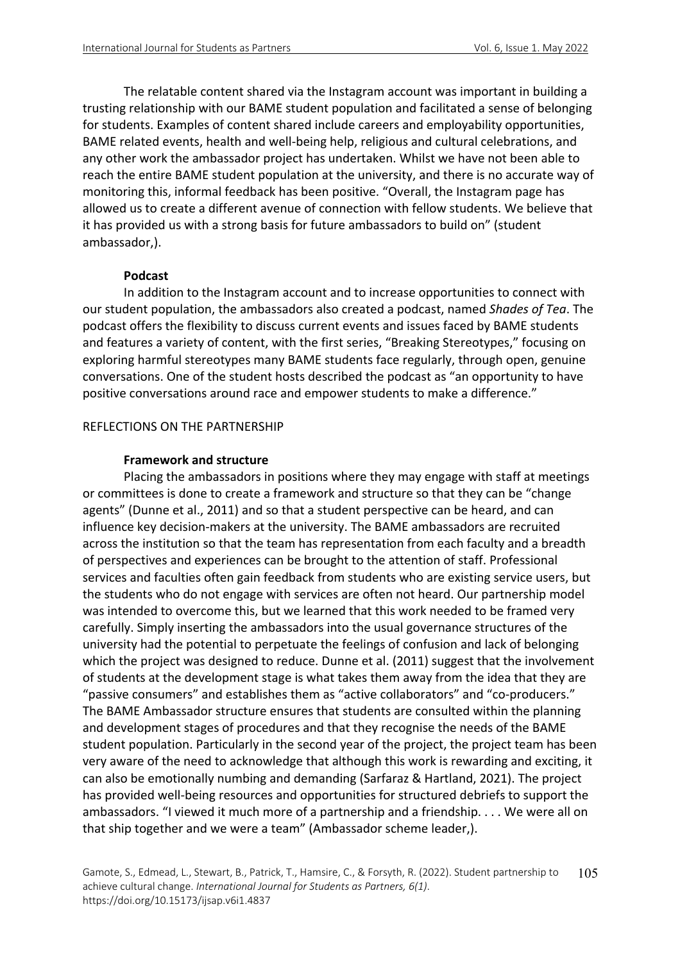The relatable content shared via the Instagram account was important in building a trusting relationship with our BAME student population and facilitated a sense of belonging for students. Examples of content shared include careers and employability opportunities, BAME related events, health and well-being help, religious and cultural celebrations, and any other work the ambassador project has undertaken. Whilst we have not been able to reach the entire BAME student population at the university, and there is no accurate way of monitoring this, informal feedback has been positive. "Overall, the Instagram page has allowed us to create a different avenue of connection with fellow students. We believe that it has provided us with a strong basis for future ambassadors to build on" (student ambassador,).

### **Podcast**

In addition to the Instagram account and to increase opportunities to connect with our student population, the ambassadors also created a podcast, named *Shades of Tea*. The podcast offers the flexibility to discuss current events and issues faced by BAME students and features a variety of content, with the first series, "Breaking Stereotypes," focusing on exploring harmful stereotypes many BAME students face regularly, through open, genuine conversations. One of the student hosts described the podcast as "an opportunity to have positive conversations around race and empower students to make a difference."

## REFLECTIONS ON THE PARTNERSHIP

## **Framework and structure**

Placing the ambassadors in positions where they may engage with staff at meetings or committees is done to create a framework and structure so that they can be "change agents" (Dunne et al., 2011) and so that a student perspective can be heard, and can influence key decision-makers at the university. The BAME ambassadors are recruited across the institution so that the team has representation from each faculty and a breadth of perspectives and experiences can be brought to the attention of staff. Professional services and faculties often gain feedback from students who are existing service users, but the students who do not engage with services are often not heard. Our partnership model was intended to overcome this, but we learned that this work needed to be framed very carefully. Simply inserting the ambassadors into the usual governance structures of the university had the potential to perpetuate the feelings of confusion and lack of belonging which the project was designed to reduce. Dunne et al. (2011) suggest that the involvement of students at the development stage is what takes them away from the idea that they are "passive consumers" and establishes them as "active collaborators" and "co-producers." The BAME Ambassador structure ensures that students are consulted within the planning and development stages of procedures and that they recognise the needs of the BAME student population. Particularly in the second year of the project, the project team has been very aware of the need to acknowledge that although this work is rewarding and exciting, it can also be emotionally numbing and demanding (Sarfaraz & Hartland, 2021). The project has provided well-being resources and opportunities for structured debriefs to support the ambassadors. "I viewed it much more of a partnership and a friendship. . . . We were all on that ship together and we were a team" (Ambassador scheme leader,).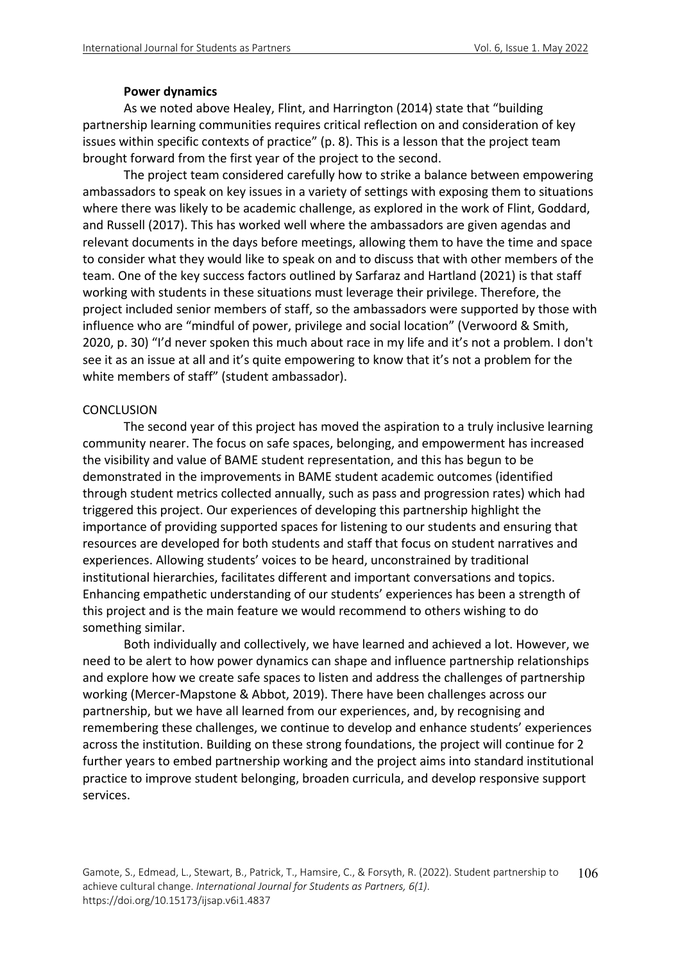## **Power dynamics**

As we noted above Healey, Flint, and Harrington (2014) state that "building partnership learning communities requires critical reflection on and consideration of key issues within specific contexts of practice" (p. 8). This is a lesson that the project team brought forward from the first year of the project to the second.

The project team considered carefully how to strike a balance between empowering ambassadors to speak on key issues in a variety of settings with exposing them to situations where there was likely to be academic challenge, as explored in the work of Flint, Goddard, and Russell (2017). This has worked well where the ambassadors are given agendas and relevant documents in the days before meetings, allowing them to have the time and space to consider what they would like to speak on and to discuss that with other members of the team. One of the key success factors outlined by Sarfaraz and Hartland (2021) is that staff working with students in these situations must leverage their privilege. Therefore, the project included senior members of staff, so the ambassadors were supported by those with influence who are "mindful of power, privilege and social location" (Verwoord & Smith, 2020, p. 30) "I'd never spoken this much about race in my life and it's not a problem. I don't see it as an issue at all and it's quite empowering to know that it's not a problem for the white members of staff" (student ambassador).

## **CONCLUSION**

The second year of this project has moved the aspiration to a truly inclusive learning community nearer. The focus on safe spaces, belonging, and empowerment has increased the visibility and value of BAME student representation, and this has begun to be demonstrated in the improvements in BAME student academic outcomes (identified through student metrics collected annually, such as pass and progression rates) which had triggered this project. Our experiences of developing this partnership highlight the importance of providing supported spaces for listening to our students and ensuring that resources are developed for both students and staff that focus on student narratives and experiences. Allowing students' voices to be heard, unconstrained by traditional institutional hierarchies, facilitates different and important conversations and topics. Enhancing empathetic understanding of our students' experiences has been a strength of this project and is the main feature we would recommend to others wishing to do something similar.

Both individually and collectively, we have learned and achieved a lot. However, we need to be alert to how power dynamics can shape and influence partnership relationships and explore how we create safe spaces to listen and address the challenges of partnership working (Mercer-Mapstone & Abbot, 2019). There have been challenges across our partnership, but we have all learned from our experiences, and, by recognising and remembering these challenges, we continue to develop and enhance students' experiences across the institution. Building on these strong foundations, the project will continue for 2 further years to embed partnership working and the project aims into standard institutional practice to improve student belonging, broaden curricula, and develop responsive support services.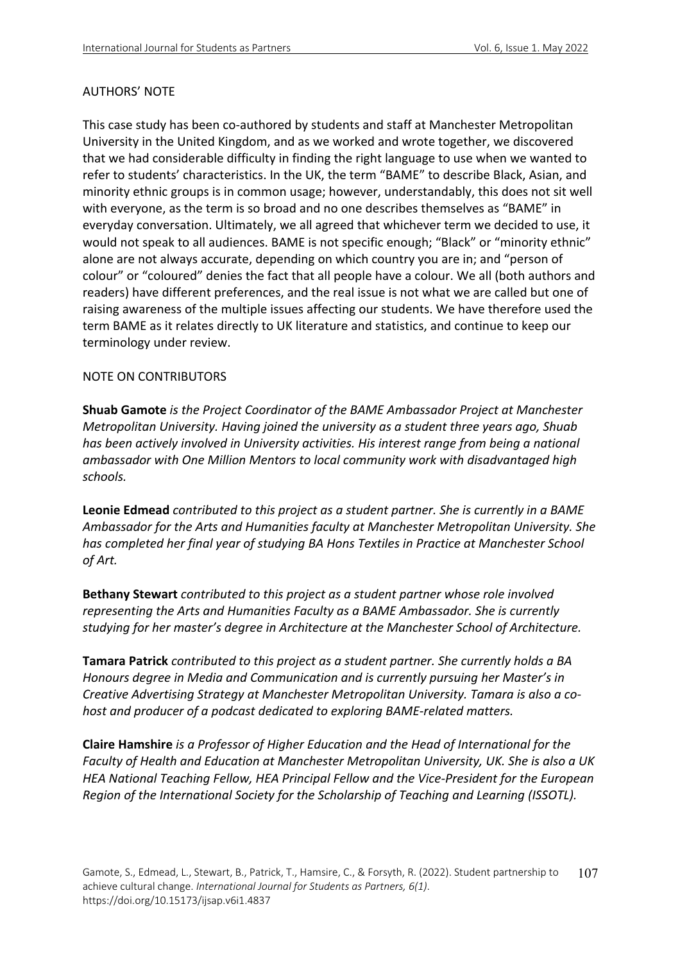## AUTHORS' NOTE

This case study has been co-authored by students and staff at Manchester Metropolitan University in the United Kingdom, and as we worked and wrote together, we discovered that we had considerable difficulty in finding the right language to use when we wanted to refer to students' characteristics. In the UK, the term "BAME" to describe Black, Asian, and minority ethnic groups is in common usage; however, understandably, this does not sit well with everyone, as the term is so broad and no one describes themselves as "BAME" in everyday conversation. Ultimately, we all agreed that whichever term we decided to use, it would not speak to all audiences. BAME is not specific enough; "Black" or "minority ethnic" alone are not always accurate, depending on which country you are in; and "person of colour" or "coloured" denies the fact that all people have a colour. We all (both authors and readers) have different preferences, and the real issue is not what we are called but one of raising awareness of the multiple issues affecting our students. We have therefore used the term BAME as it relates directly to UK literature and statistics, and continue to keep our terminology under review.

## NOTE ON CONTRIBUTORS

**Shuab Gamote** *is the Project Coordinator of the BAME Ambassador Project at Manchester Metropolitan University. Having joined the university as a student three years ago, Shuab has been actively involved in University activities. His interest range from being a national ambassador with One Million Mentors to local community work with disadvantaged high schools.*

**Leonie Edmead** *contributed to this project as a student partner. She is currently in a BAME Ambassador for the Arts and Humanities faculty at Manchester Metropolitan University. She has completed her final year of studying BA Hons Textiles in Practice at Manchester School of Art.*

**Bethany Stewart** *contributed to this project as a student partner whose role involved representing the Arts and Humanities Faculty as a BAME Ambassador. She is currently studying for her master's degree in Architecture at the Manchester School of Architecture.*

**Tamara Patrick** *contributed to this project as a student partner. She currently holds a BA Honours degree in Media and Communication and is currently pursuing her Master's in Creative Advertising Strategy at Manchester Metropolitan University. Tamara is also a cohost and producer of a podcast dedicated to exploring BAME-related matters.*

**Claire Hamshire** *is a Professor of Higher Education and the Head of International for the Faculty of Health and Education at Manchester Metropolitan University, UK. She is also a UK HEA National Teaching Fellow, HEA Principal Fellow and the Vice-President for the European Region of the International Society for the Scholarship of Teaching and Learning (ISSOTL).*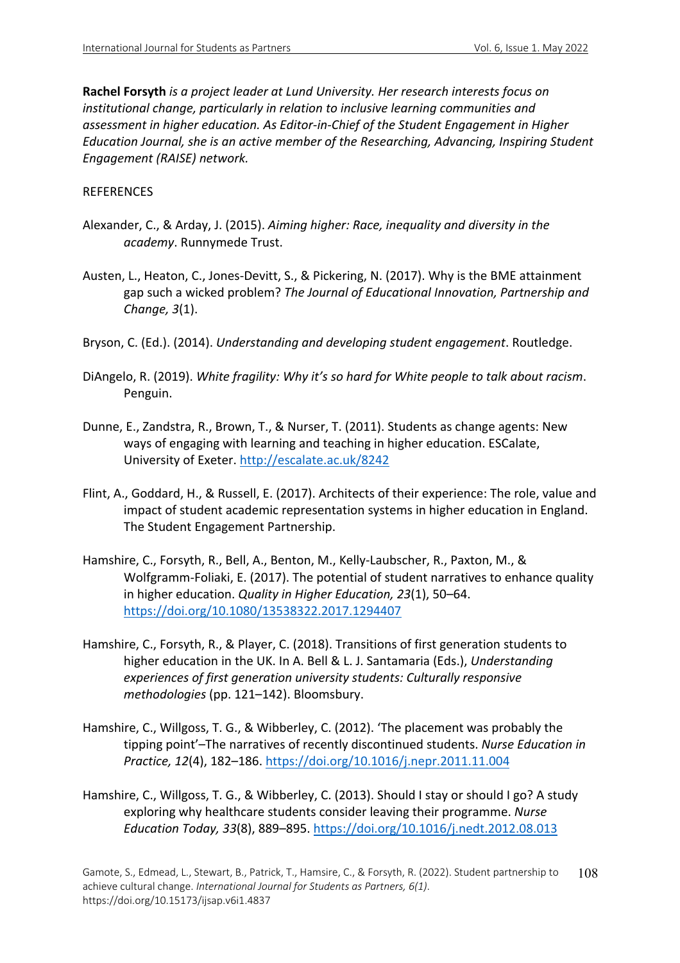**Rachel Forsyth** *is a project leader at Lund University. Her research interests focus on institutional change, particularly in relation to inclusive learning communities and assessment in higher education. As Editor-in-Chief of the Student Engagement in Higher Education Journal, she is an active member of the Researching, Advancing, Inspiring Student Engagement (RAISE) network.*

## REFERENCES

- Alexander, C., & Arday, J. (2015). *Aiming higher: Race, inequality and diversity in the academy*. Runnymede Trust.
- Austen, L., Heaton, C., Jones-Devitt, S., & Pickering, N. (2017). Why is the BME attainment gap such a wicked problem? *The Journal of Educational Innovation, Partnership and Change, 3*(1).
- Bryson, C. (Ed.). (2014). *Understanding and developing student engagement*. Routledge.
- DiAngelo, R. (2019). *White fragility: Why it's so hard for White people to talk about racism*. Penguin.
- Dunne, E., Zandstra, R., Brown, T., & Nurser, T. (2011). Students as change agents: New ways of engaging with learning and teaching in higher education. ESCalate, University of Exeter. http://escalate.ac.uk/8242
- Flint, A., Goddard, H., & Russell, E. (2017). Architects of their experience: The role, value and impact of student academic representation systems in higher education in England. The Student Engagement Partnership.
- Hamshire, C., Forsyth, R., Bell, A., Benton, M., Kelly-Laubscher, R., Paxton, M., & Wolfgramm-Foliaki, E. (2017). The potential of student narratives to enhance quality in higher education. *Quality in Higher Education, 23*(1), 50–64. https://doi.org/10.1080/13538322.2017.1294407
- Hamshire, C., Forsyth, R., & Player, C. (2018). Transitions of first generation students to higher education in the UK. In A. Bell & L. J. Santamaria (Eds.), *Understanding experiences of first generation university students: Culturally responsive methodologies* (pp. 121–142). Bloomsbury.
- Hamshire, C., Willgoss, T. G., & Wibberley, C. (2012). 'The placement was probably the tipping point'–The narratives of recently discontinued students. *Nurse Education in Practice, 12*(4), 182–186. https://doi.org/10.1016/j.nepr.2011.11.004
- Hamshire, C., Willgoss, T. G., & Wibberley, C. (2013). Should I stay or should I go? A study exploring why healthcare students consider leaving their programme. *Nurse Education Today, 33*(8), 889–895. https://doi.org/10.1016/j.nedt.2012.08.013